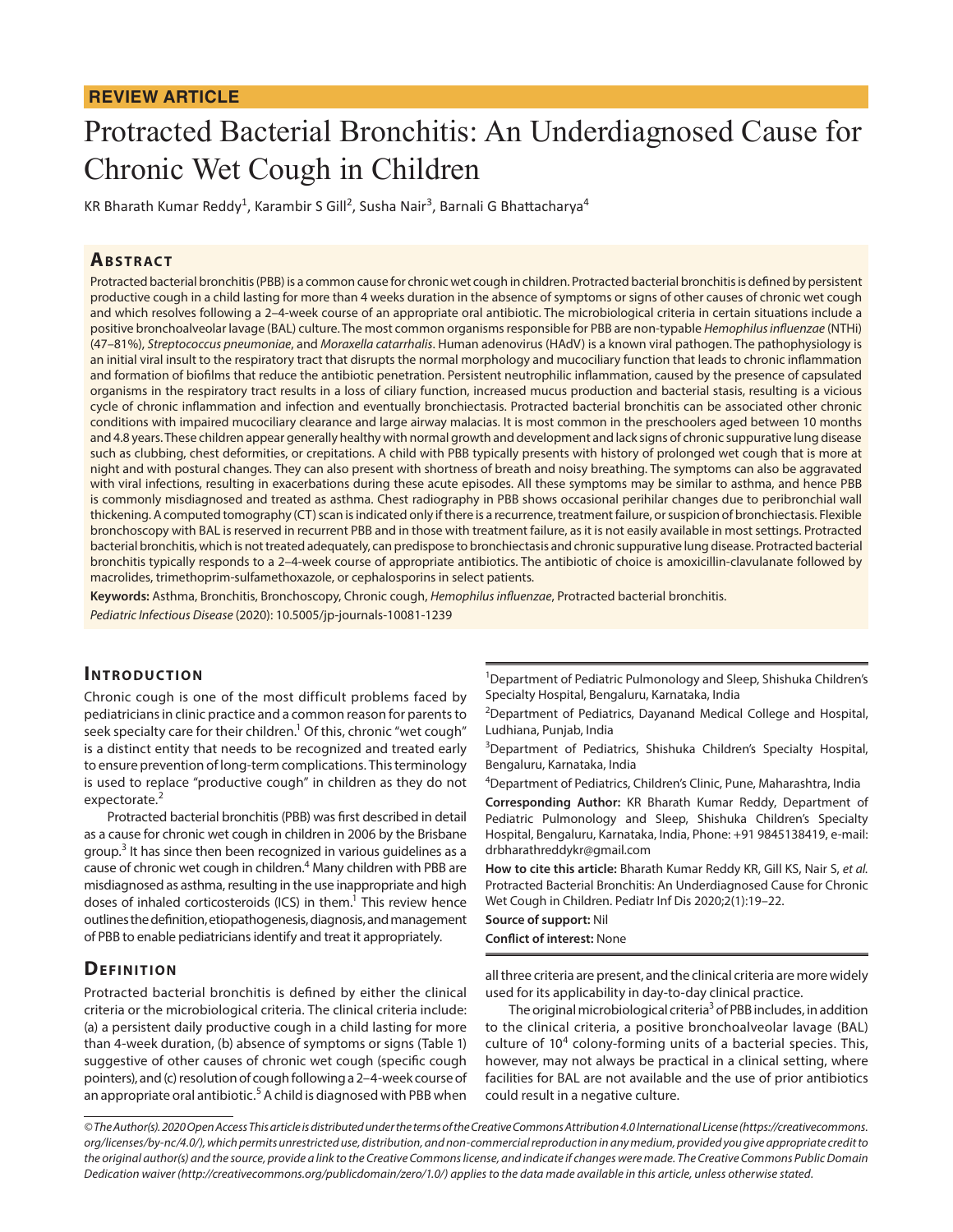# **REVIEW ARTICLE**

# Protracted Bacterial Bronchitis: An Underdiagnosed Cause for Chronic Wet Cough in Children

KR Bharath Kumar Reddy<sup>1</sup>, Karambir S Gill<sup>2</sup>, Susha Nair<sup>3</sup>, Barnali G Bhattacharya<sup>4</sup>

#### **ABSTRACT**

Protracted bacterial bronchitis (PBB) is a common cause for chronic wet cough in children. Protracted bacterial bronchitis is defined by persistent productive cough in a child lasting for more than 4 weeks duration in the absence of symptoms or signs of other causes of chronic wet cough and which resolves following a 2–4-week course of an appropriate oral antibiotic. The microbiological criteria in certain situations include a positive bronchoalveolar lavage (BAL) culture. The most common organisms responsible for PBB are non-typable *Hemophilus influenzae* (NTHi) (47–81%), *Streptococcus pneumoniae*, and *Moraxella catarrhalis*. Human adenovirus (HAdV) is a known viral pathogen. The pathophysiology is an initial viral insult to the respiratory tract that disrupts the normal morphology and mucociliary function that leads to chronic inflammation and formation of biofilms that reduce the antibiotic penetration. Persistent neutrophilic inflammation, caused by the presence of capsulated organisms in the respiratory tract results in a loss of ciliary function, increased mucus production and bacterial stasis, resulting is a vicious cycle of chronic inflammation and infection and eventually bronchiectasis. Protracted bacterial bronchitis can be associated other chronic conditions with impaired mucociliary clearance and large airway malacias. It is most common in the preschoolers aged between 10 months and 4.8 years. These children appear generally healthy with normal growth and development and lack signs of chronic suppurative lung disease such as clubbing, chest deformities, or crepitations. A child with PBB typically presents with history of prolonged wet cough that is more at night and with postural changes. They can also present with shortness of breath and noisy breathing. The symptoms can also be aggravated with viral infections, resulting in exacerbations during these acute episodes. All these symptoms may be similar to asthma, and hence PBB is commonly misdiagnosed and treated as asthma. Chest radiography in PBB shows occasional perihilar changes due to peribronchial wall thickening. A computed tomography (CT) scan is indicated only if there is a recurrence, treatment failure, or suspicion of bronchiectasis. Flexible bronchoscopy with BAL is reserved in recurrent PBB and in those with treatment failure, as it is not easily available in most settings. Protracted bacterial bronchitis, which is not treated adequately, can predispose to bronchiectasis and chronic suppurative lung disease. Protracted bacterial bronchitis typically responds to a 2–4-week course of appropriate antibiotics. The antibiotic of choice is amoxicillin-clavulanate followed by macrolides, trimethoprim-sulfamethoxazole, or cephalosporins in select patients.

**Keywords:** Asthma, Bronchitis, Bronchoscopy, Chronic cough, *Hemophilus influenzae*, Protracted bacterial bronchitis. *Pediatric Infectious Disease* (2020): 10.5005/jp-journals-10081-1239

#### **INTRODUCTION**

Chronic cough is one of the most difficult problems faced by pediatricians in clinic practice and a common reason for parents to seek specialty care for their children.<sup>1</sup> Of this, chronic "wet cough" is a distinct entity that needs to be recognized and treated early to ensure prevention of long-term complications. This terminology is used to replace "productive cough" in children as they do not expectorate.<sup>2</sup>

Protracted bacterial bronchitis (PBB) was first described in detail as a cause for chronic wet cough in children in 2006 by the Brisbane group.<sup>3</sup> It has since then been recognized in various guidelines as a cause of chronic wet cough in children.<sup>4</sup> Many children with PBB are misdiagnosed as asthma, resulting in the use inappropriate and high doses of inhaled corticosteroids (ICS) in them.<sup>1</sup> This review hence outlines the definition, etiopathogenesis, diagnosis, and management of PBB to enable pediatricians identify and treat it appropriately.

#### **DEFINITION**

Protracted bacterial bronchitis is defined by either the clinical criteria or the microbiological criteria. The clinical criteria include: (a) a persistent daily productive cough in a child lasting for more than 4-week duration, (b) absence of symptoms or signs (Table 1) suggestive of other causes of chronic wet cough (specific cough pointers), and (c) resolution of cough following a 2–4-week course of an appropriate oral antibiotic. $^5$  A child is diagnosed with PBB when

<sup>1</sup>Department of Pediatric Pulmonology and Sleep, Shishuka Children's Specialty Hospital, Bengaluru, Karnataka, India

<sup>2</sup>Department of Pediatrics, Dayanand Medical College and Hospital, Ludhiana, Punjab, India

<sup>3</sup>Department of Pediatrics, Shishuka Children's Specialty Hospital, Bengaluru, Karnataka, India

4 Department of Pediatrics, Children's Clinic, Pune, Maharashtra, India

**Corresponding Author:** KR Bharath Kumar Reddy, Department of Pediatric Pulmonology and Sleep, Shishuka Children's Specialty Hospital, Bengaluru, Karnataka, India, Phone: +91 9845138419, e-mail: drbharathreddykr@gmail.com

**How to cite this article:** Bharath Kumar Reddy KR, Gill KS, Nair S, *et al.* Protracted Bacterial Bronchitis: An Underdiagnosed Cause for Chronic Wet Cough in Children. Pediatr Inf Dis 2020;2(1):19–22.

**Source of support:** Nil

**Conflict of interest:** None

all three criteria are present, and the clinical criteria are more widely used for its applicability in day-to-day clinical practice.

The original microbiological criteria<sup>3</sup> of PBB includes, in addition to the clinical criteria, a positive bronchoalveolar lavage (BAL) culture of  $10<sup>4</sup>$  colony-forming units of a bacterial species. This, however, may not always be practical in a clinical setting, where facilities for BAL are not available and the use of prior antibiotics could result in a negative culture.

*<sup>©</sup> The Author(s). 2020 Open Access This article is distributed under the terms of the Creative Commons Attribution 4.0 International License (https://creativecommons. org/licenses/by-nc/4.0/), which permits unrestricted use, distribution, and non-commercial reproduction in any medium, provided you give appropriate credit to the original author(s) and the source, provide a link to the Creative Commons license, and indicate if changes were made. The Creative Commons Public Domain Dedication waiver (http://creativecommons.org/publicdomain/zero/1.0/) applies to the data made available in this article, unless otherwise stated.*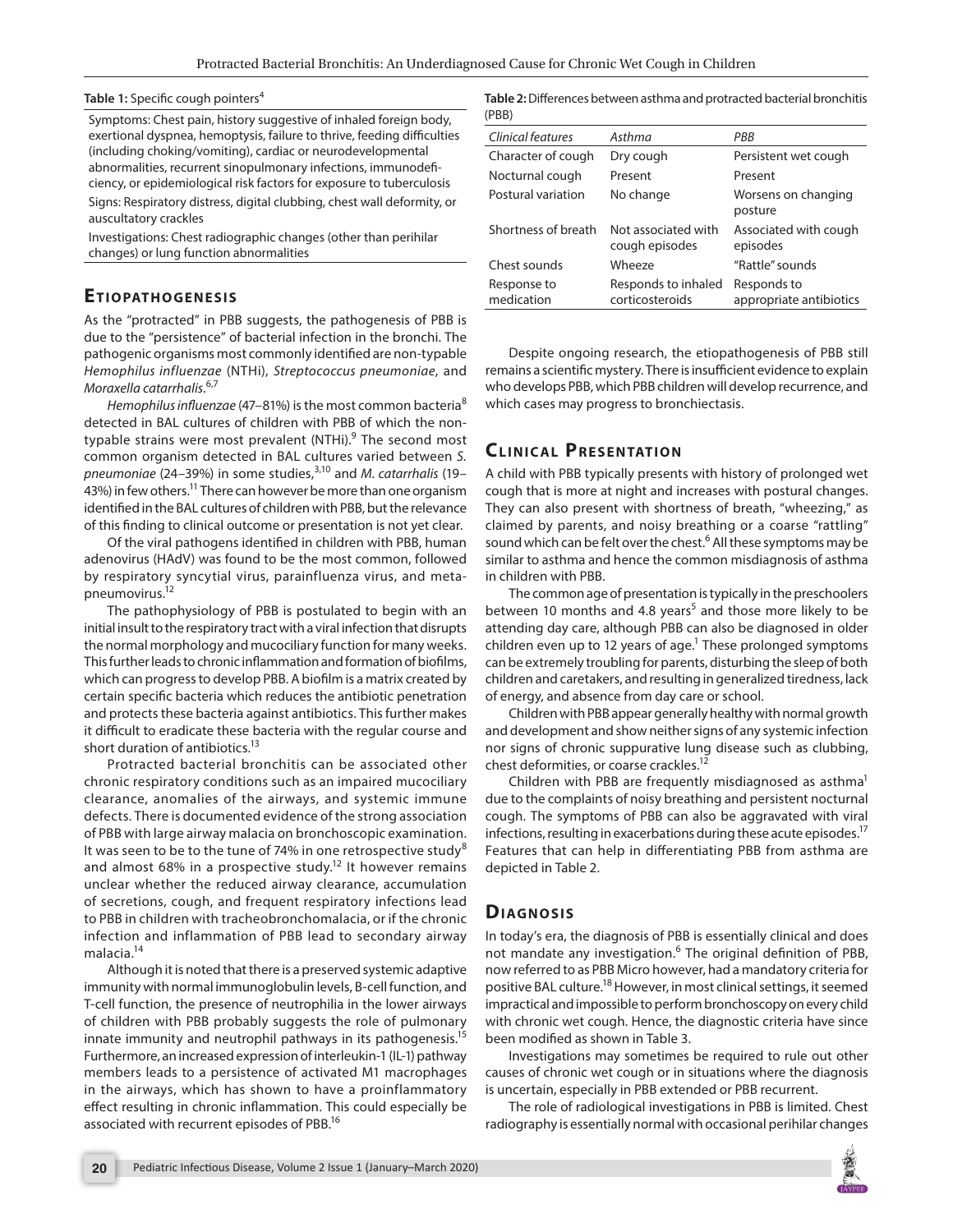#### **Table 1:** Specific cough pointers<sup>4</sup>

Symptoms: Chest pain, history suggestive of inhaled foreign body, exertional dyspnea, hemoptysis, failure to thrive, feeding difficulties (including choking/vomiting), cardiac or neurodevelopmental abnormalities, recurrent sinopulmonary infections, immunodeficiency, or epidemiological risk factors for exposure to tuberculosis Signs: Respiratory distress, digital clubbing, chest wall deformity, or auscultatory crackles

Investigations: Chest radiographic changes (other than perihilar changes) or lung function abnormalities

#### **ETIOPATHOGENESIS**

As the "protracted" in PBB suggests, the pathogenesis of PBB is due to the "persistence" of bacterial infection in the bronchi. The pathogenic organisms most commonly identified are non-typable *Hemophilus influenzae* (NTHi), *Streptococcus pneumoniae*, and *Moraxella catarrhalis*. 6,7

*Hemophilus influenzae* (47–81%) is the most common bacteria<sup>8</sup> detected in BAL cultures of children with PBB of which the nontypable strains were most prevalent (NTHi).<sup>9</sup> The second most common organism detected in BAL cultures varied between *S. pneumoniae* (24–39%) in some studies,<sup>3,10</sup> and *M. catarrhalis* (19– 43%) in few others.<sup>11</sup> There can however be more than one organism identified in the BAL cultures of children with PBB, but the relevance of this finding to clinical outcome or presentation is not yet clear.

Of the viral pathogens identified in children with PBB, human adenovirus (HAdV) was found to be the most common, followed by respiratory syncytial virus, parainfluenza virus, and metapneumovirus.12

The pathophysiology of PBB is postulated to begin with an initial insult to the respiratory tract with a viral infection that disrupts the normal morphology and mucociliary function for many weeks. This further leads to chronic inflammation and formation of biofilms, which can progress to develop PBB. A biofilm is a matrix created by certain specific bacteria which reduces the antibiotic penetration and protects these bacteria against antibiotics. This further makes it difficult to eradicate these bacteria with the regular course and short duration of antibiotics.<sup>13</sup>

Protracted bacterial bronchitis can be associated other chronic respiratory conditions such as an impaired mucociliary clearance, anomalies of the airways, and systemic immune defects. There is documented evidence of the strong association of PBB with large airway malacia on bronchoscopic examination. It was seen to be to the tune of 74% in one retrospective study<sup>8</sup> and almost 68% in a prospective study.<sup>12</sup> It however remains unclear whether the reduced airway clearance, accumulation of secretions, cough, and frequent respiratory infections lead to PBB in children with tracheobronchomalacia, or if the chronic infection and inflammation of PBB lead to secondary airway malacia.14

Although it is noted that there is a preserved systemic adaptive immunity with normal immunoglobulin levels, B-cell function, and T-cell function, the presence of neutrophilia in the lower airways of children with PBB probably suggests the role of pulmonary innate immunity and neutrophil pathways in its pathogenesis.<sup>15</sup> Furthermore, an increased expression of interleukin-1 (IL-1) pathway members leads to a persistence of activated M1 macrophages in the airways, which has shown to have a proinflammatory effect resulting in chronic inflammation. This could especially be associated with recurrent episodes of PBB.<sup>16</sup>

**Table 2:** Differences between asthma and protracted bacterial bronchitis (PBB)

| Clinical features         | Asthma                                 | PRR                                    |
|---------------------------|----------------------------------------|----------------------------------------|
| Character of cough        | Dry cough                              | Persistent wet cough                   |
| Nocturnal cough           | Present                                | Present                                |
| Postural variation        | No change                              | Worsens on changing<br>posture         |
| Shortness of breath       | Not associated with<br>cough episodes  | Associated with cough<br>episodes      |
| Chest sounds              | Wheeze                                 | "Rattle" sounds                        |
| Response to<br>medication | Responds to inhaled<br>corticosteroids | Responds to<br>appropriate antibiotics |
|                           |                                        |                                        |

Despite ongoing research, the etiopathogenesis of PBB still remains a scientific mystery. There is insufficient evidence to explain who develops PBB, which PBB children will develop recurrence, and which cases may progress to bronchiectasis.

# **CLINICAL PRESENTATION**

A child with PBB typically presents with history of prolonged wet cough that is more at night and increases with postural changes. They can also present with shortness of breath, "wheezing," as claimed by parents, and noisy breathing or a coarse "rattling" sound which can be felt over the chest.<sup>6</sup> All these symptoms may be similar to asthma and hence the common misdiagnosis of asthma in children with PBB.

The common age of presentation is typically in the preschoolers between 10 months and 4.8 years<sup>5</sup> and those more likely to be attending day care, although PBB can also be diagnosed in older children even up to 12 years of age.<sup>1</sup> These prolonged symptoms can be extremely troubling for parents, disturbing the sleep of both children and caretakers, and resulting in generalized tiredness, lack of energy, and absence from day care or school.

Children with PBB appear generally healthy with normal growth and development and show neither signs of any systemic infection nor signs of chronic suppurative lung disease such as clubbing, chest deformities, or coarse crackles.<sup>12</sup>

Children with PBB are frequently misdiagnosed as asthma<sup>1</sup> due to the complaints of noisy breathing and persistent nocturnal cough. The symptoms of PBB can also be aggravated with viral infections, resulting in exacerbations during these acute episodes.<sup>17</sup> Features that can help in differentiating PBB from asthma are depicted in Table 2.

## **Diag n o sis**

In today's era, the diagnosis of PBB is essentially clinical and does not mandate any investigation.<sup>6</sup> The original definition of PBB, now referred to as PBB Micro however, had a mandatory criteria for positive BAL culture.<sup>18</sup> However, in most clinical settings, it seemed impractical and impossible to perform bronchoscopy on every child with chronic wet cough. Hence, the diagnostic criteria have since been modified as shown in Table 3.

Investigations may sometimes be required to rule out other causes of chronic wet cough or in situations where the diagnosis is uncertain, especially in PBB extended or PBB recurrent.

The role of radiological investigations in PBB is limited. Chest radiography is essentially normal with occasional perihilar changes

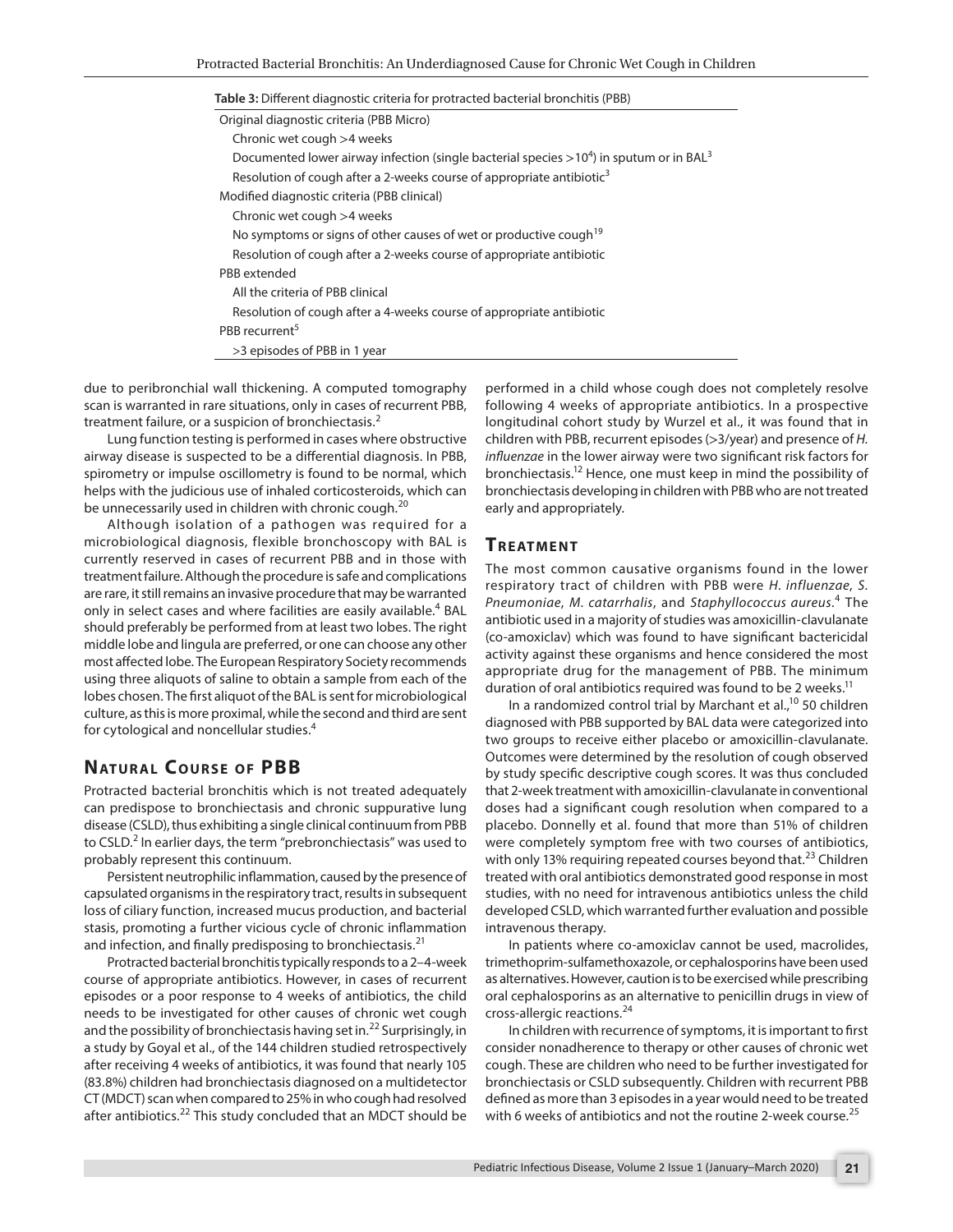| Table 3: Different diagnostic criteria for protracted bacterial bronchitis (PBB)                       |  |  |
|--------------------------------------------------------------------------------------------------------|--|--|
| Original diagnostic criteria (PBB Micro)                                                               |  |  |
| Chronic wet cough >4 weeks                                                                             |  |  |
| Documented lower airway infection (single bacterial species $>10^4$ ) in sputum or in BAL <sup>3</sup> |  |  |
| Resolution of cough after a 2-weeks course of appropriate antibiotic <sup>3</sup>                      |  |  |
| Modified diagnostic criteria (PBB clinical)                                                            |  |  |
| Chronic wet cough >4 weeks                                                                             |  |  |
| No symptoms or signs of other causes of wet or productive cough <sup>19</sup>                          |  |  |
| Resolution of cough after a 2-weeks course of appropriate antibiotic                                   |  |  |
| PBB extended                                                                                           |  |  |
| All the criteria of PBB clinical                                                                       |  |  |
| Resolution of cough after a 4-weeks course of appropriate antibiotic                                   |  |  |
| PBB recurrent <sup>5</sup>                                                                             |  |  |
| >3 episodes of PBB in 1 year                                                                           |  |  |

due to peribronchial wall thickening. A computed tomography scan is warranted in rare situations, only in cases of recurrent PBB, treatment failure, or a suspicion of bronchiectasis.<sup>2</sup>

Lung function testing is performed in cases where obstructive airway disease is suspected to be a differential diagnosis. In PBB, spirometry or impulse oscillometry is found to be normal, which helps with the judicious use of inhaled corticosteroids, which can be unnecessarily used in children with chronic cough.<sup>20</sup>

Although isolation of a pathogen was required for a microbiological diagnosis, flexible bronchoscopy with BAL is currently reserved in cases of recurrent PBB and in those with treatment failure. Although the procedure is safe and complications are rare, it still remains an invasive procedure that may be warranted only in select cases and where facilities are easily available.<sup>4</sup> BAL should preferably be performed from at least two lobes. The right middle lobe and lingula are preferred, or one can choose any other most affected lobe. The European Respiratory Society recommends using three aliquots of saline to obtain a sample from each of the lobes chosen. The first aliquot of the BAL is sent for microbiological culture, as this is more proximal, while the second and third are sent for cytological and noncellular studies.<sup>4</sup>

# **NATURAL COURSE OF PBB**

Protracted bacterial bronchitis which is not treated adequately can predispose to bronchiectasis and chronic suppurative lung disease (CSLD), thus exhibiting a single clinical continuum from PBB to CSLD.<sup>2</sup> In earlier days, the term "prebronchiectasis" was used to probably represent this continuum.

Persistent neutrophilic inflammation, caused by the presence of capsulated organisms in the respiratory tract, results in subsequent loss of ciliary function, increased mucus production, and bacterial stasis, promoting a further vicious cycle of chronic inflammation and infection, and finally predisposing to bronchiectasis.<sup>21</sup>

Protracted bacterial bronchitis typically responds to a 2–4-week course of appropriate antibiotics. However, in cases of recurrent episodes or a poor response to 4 weeks of antibiotics, the child needs to be investigated for other causes of chronic wet cough and the possibility of bronchiectasis having set in.<sup>22</sup> Surprisingly, in a study by Goyal et al., of the 144 children studied retrospectively after receiving 4 weeks of antibiotics, it was found that nearly 105 (83.8%) children had bronchiectasis diagnosed on a multidetector CT (MDCT) scan when compared to 25% in who cough had resolved after antibiotics.22 This study concluded that an MDCT should be

performed in a child whose cough does not completely resolve following 4 weeks of appropriate antibiotics. In a prospective longitudinal cohort study by Wurzel et al., it was found that in children with PBB, recurrent episodes (>3/year) and presence of *H. influenzae* in the lower airway were two significant risk factors for bronchiectasis.12 Hence, one must keep in mind the possibility of bronchiectasis developing in children with PBB who are not treated early and appropriately.

#### **TREATMENT**

The most common causative organisms found in the lower respiratory tract of children with PBB were *H. influenzae*, *S. Pneumoniae*, *M. catarrhalis*, and *Staphyllococcus aureus*. 4 The antibiotic used in a majority of studies was amoxicillin-clavulanate (co-amoxiclav) which was found to have significant bactericidal activity against these organisms and hence considered the most appropriate drug for the management of PBB. The minimum duration of oral antibiotics required was found to be 2 weeks.<sup>11</sup>

In a randomized control trial by Marchant et al.,<sup>10</sup> 50 children diagnosed with PBB supported by BAL data were categorized into two groups to receive either placebo or amoxicillin-clavulanate. Outcomes were determined by the resolution of cough observed by study specific descriptive cough scores. It was thus concluded that 2-week treatment with amoxicillin-clavulanate in conventional doses had a significant cough resolution when compared to a placebo. Donnelly et al. found that more than 51% of children were completely symptom free with two courses of antibiotics, with only 13% requiring repeated courses beyond that.<sup>23</sup> Children treated with oral antibiotics demonstrated good response in most studies, with no need for intravenous antibiotics unless the child developed CSLD, which warranted further evaluation and possible intravenous therapy.

In patients where co-amoxiclav cannot be used, macrolides, trimethoprim-sulfamethoxazole, or cephalosporins have been used as alternatives. However, caution is to be exercised while prescribing oral cephalosporins as an alternative to penicillin drugs in view of cross-allergic reactions.<sup>24</sup>

In children with recurrence of symptoms, it is important to first consider nonadherence to therapy or other causes of chronic wet cough. These are children who need to be further investigated for bronchiectasis or CSLD subsequently. Children with recurrent PBB defined as more than 3 episodes in a year would need to be treated with 6 weeks of antibiotics and not the routine 2-week course.<sup>25</sup>